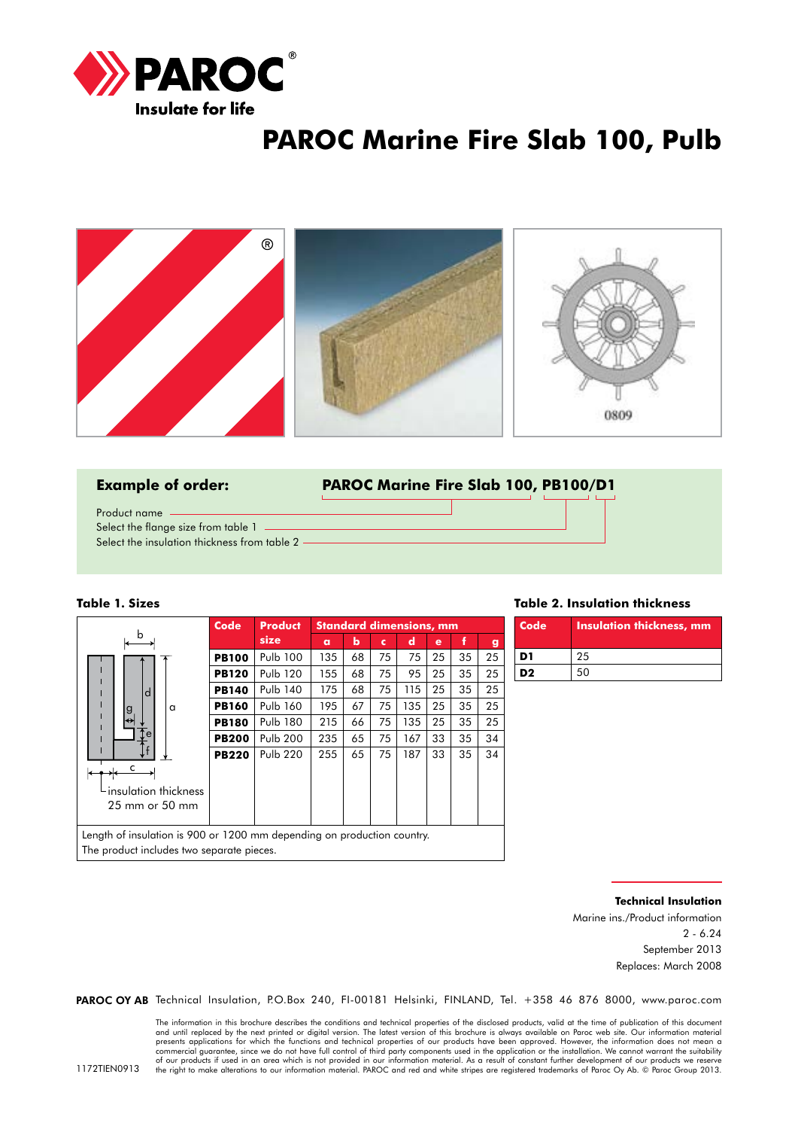

## **PAROC Marine Fire Slab 100, Pulb**





#### **Table 1. Sizes**

The product includes two separate pieces.

|                                                                         | Code         | <b>Product</b>  |          |    |    | <b>Standard dimensions, mm</b> |    |    |    |
|-------------------------------------------------------------------------|--------------|-----------------|----------|----|----|--------------------------------|----|----|----|
| b                                                                       |              | size            | $\alpha$ | ь  | c  | d                              | e  | f  | g  |
|                                                                         | <b>PB100</b> | <b>Pulb 100</b> | 135      | 68 | 75 | 75                             | 25 | 35 | 25 |
|                                                                         | <b>PB120</b> | <b>Pulb 120</b> | 155      | 68 | 75 | 95                             | 25 | 35 | 25 |
| d                                                                       | <b>PB140</b> | <b>Pulb 140</b> | 175      | 68 | 75 | 115                            | 25 | 35 | 25 |
| a<br>g                                                                  | <b>PB160</b> | <b>Pulb 160</b> | 195      | 67 | 75 | 135                            | 25 | 35 | 25 |
| ↔                                                                       | <b>PB180</b> | <b>Pulb 180</b> | 215      | 66 | 75 | 135                            | 25 | 35 | 25 |
| e                                                                       | <b>PB200</b> | <b>Pulb 200</b> | 235      | 65 | 75 | 167                            | 33 | 35 | 34 |
|                                                                         | <b>PB220</b> | <b>Pulb 220</b> | 255      | 65 | 75 | 187                            | 33 | 35 | 34 |
| insulation thickness<br>$25 \text{ mm}$ or $50 \text{ mm}$              |              |                 |          |    |    |                                |    |    |    |
| Length of insulation is 900 or 1200 mm depending on production country. |              |                 |          |    |    |                                |    |    |    |

**Table 2. Insulation thickness**

| Code | <b>Insulation thickness, mm</b> |
|------|---------------------------------|
| D1   | 25                              |
| D2   | 50                              |

**Technical Insulation**

Marine ins./Product information 2 - 6.24 September 2013 Replaces: March 2008

PAROC OY AB Technical Insulation, P.O.Box 240, FI-00181 Helsinki, FINLAND, Tel. +358 46 876 8000, www.paroc.com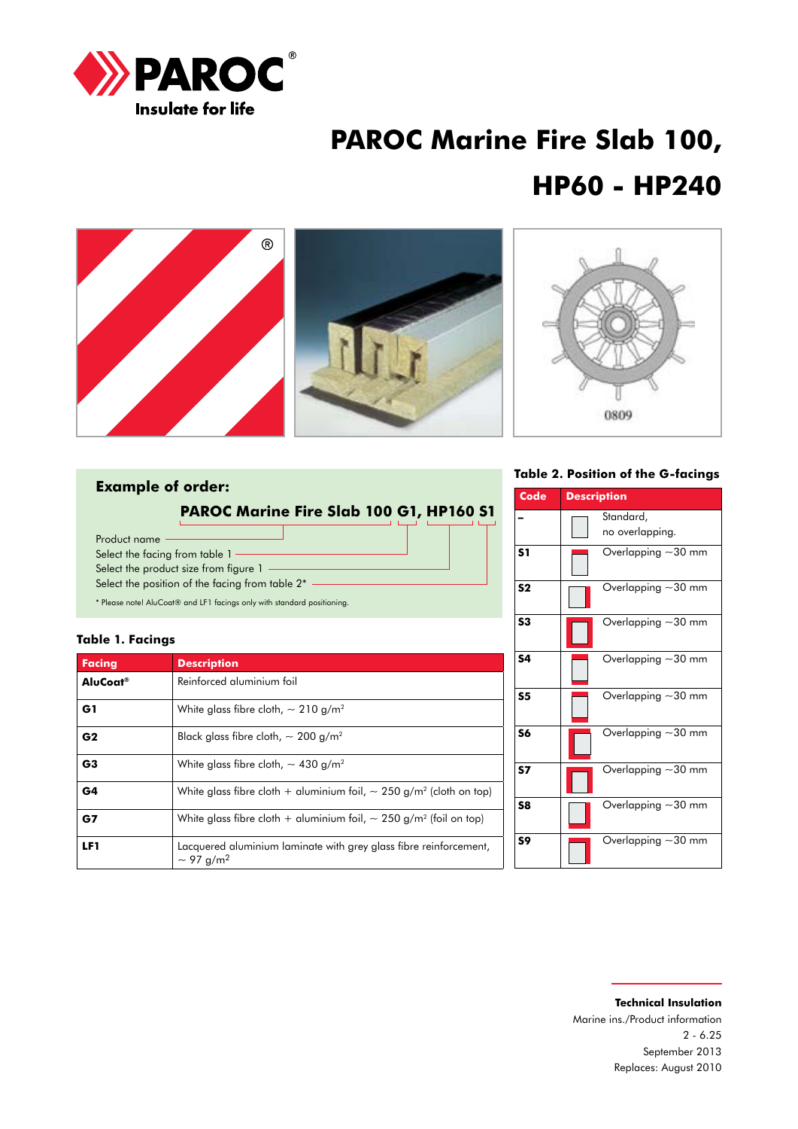

# **PAROC Marine Fire Slab 100, HP60 - HP240**



### **Example of order:**

**PAROC Marine Fire Slab 100 G1, HP160 S1**

Product name Select the facing from table 1 -Select the product size from figure 1 -Select the position of the facing from table  $2^*$  -\* Please note! AluCoat® and LF1 facings only with standard positioning.

**Table 1. Facings**

| <b>Facing</b>        | <b>Description</b>                                                                              |
|----------------------|-------------------------------------------------------------------------------------------------|
| AluCoat <sup>®</sup> | Reinforced aluminium foil                                                                       |
| G1                   | White glass fibre cloth, $\sim$ 210 g/m <sup>2</sup>                                            |
| G <sub>2</sub>       | Black glass fibre cloth, $\sim 200$ g/m <sup>2</sup>                                            |
| G <sub>3</sub>       | White glass fibre cloth, $\sim$ 430 g/m <sup>2</sup>                                            |
| G4                   | White glass fibre cloth + aluminium foil, $\sim$ 250 g/m <sup>2</sup> (cloth on top)            |
| G7                   | White glass fibre cloth + aluminium foil, $\sim$ 250 g/m <sup>2</sup> (foil on top)             |
| LF <sub>1</sub>      | Lacquered aluminium laminate with grey glass fibre reinforcement,<br>$\sim$ 97 g/m <sup>2</sup> |

**Table 2. Position of the G-facings**

| Code           | <b>Description</b> |                              |
|----------------|--------------------|------------------------------|
|                |                    | Standard,<br>no overlapping. |
| S <sub>1</sub> |                    | Overlapping $\sim$ 30 mm     |
| S <sub>2</sub> |                    | Overlapping $\sim$ 30 mm     |
| S <sub>3</sub> |                    | Overlapping $\sim$ 30 mm     |
| S4             |                    | Overlapping $\sim$ 30 mm     |
| S <sub>5</sub> |                    | Overlapping $\sim$ 30 mm     |
| S6             |                    | Overlapping $\sim$ 30 mm     |
| S7             |                    | Overlapping $\sim$ 30 mm     |
| S8             |                    | Overlapping $\sim$ 30 mm     |
| S9             |                    | Overlapping $\sim$ 30 mm     |

### **Technical Insulation** Marine ins./Product information 2 - 6.25 September 2013 Replaces: August 2010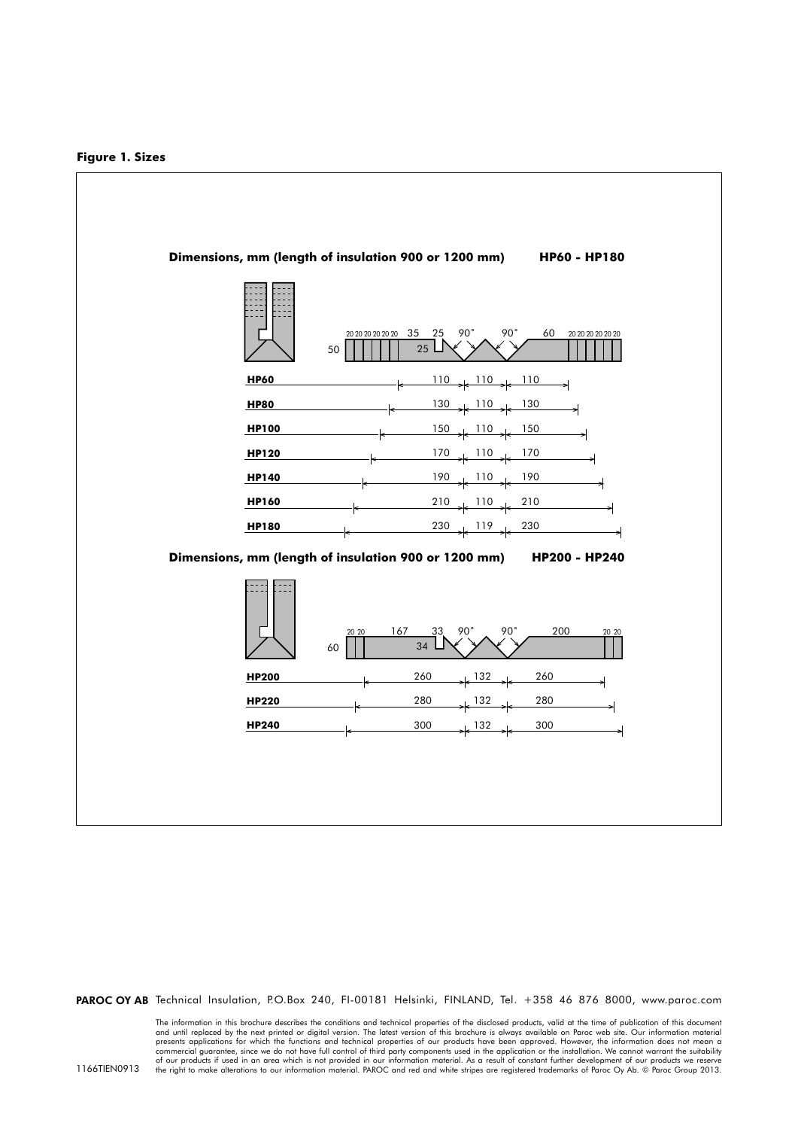

PAROC OY AB Technical Insulation, P.O.Box 240, FI-00181 Helsinki, FINLAND, Tel. +358 46 876 8000, www.paroc.com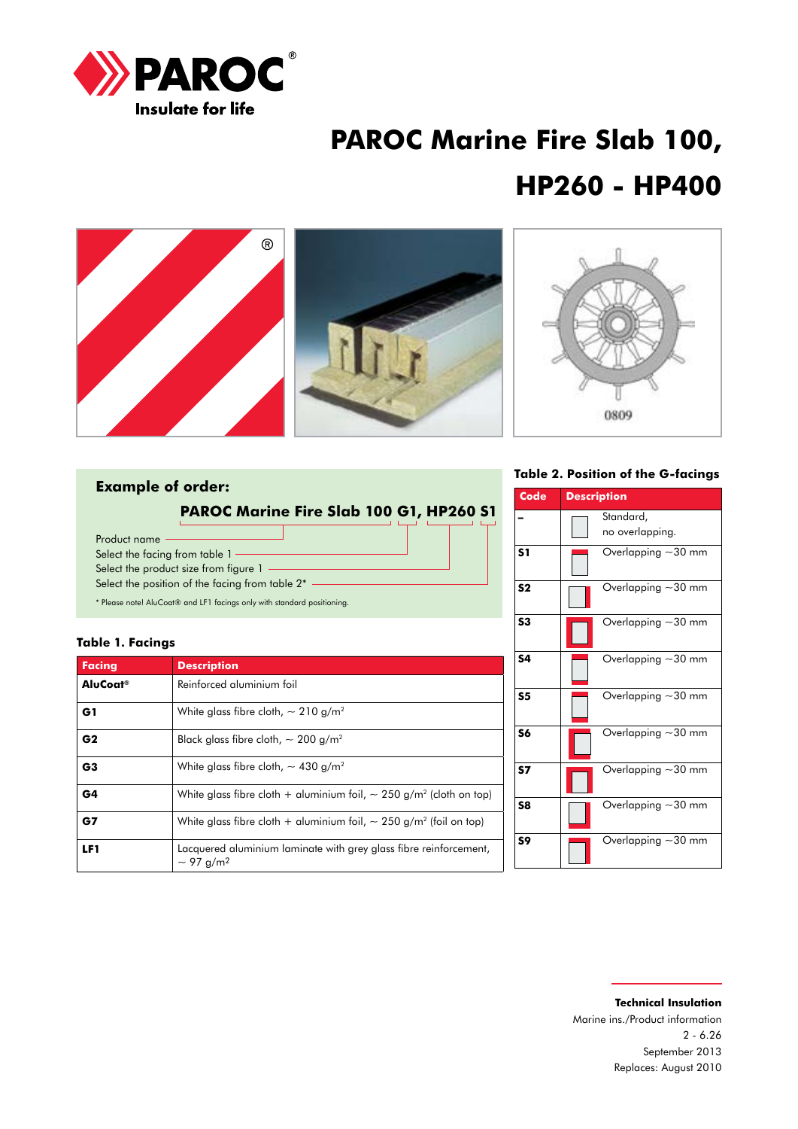

# **PAROC Marine Fire Slab 100, HP260 - HP400**



### **Example of order:**

**PAROC Marine Fire Slab 100 G1, HP260 S1**

Product name Select the facing from table 1 -Select the product size from figure 1 -Select the position of the facing from table  $2^*$  -\* Please note! AluCoat® and LF1 facings only with standard positioning.

### **Table 1. Facings**

| <b>Facing</b>        | <b>Description</b>                                                                              |
|----------------------|-------------------------------------------------------------------------------------------------|
| AluCoat <sup>®</sup> | Reinforced aluminium foil                                                                       |
| G1                   | White glass fibre cloth, $\sim$ 210 g/m <sup>2</sup>                                            |
| G <sub>2</sub>       | Black glass fibre cloth, $\sim$ 200 g/m <sup>2</sup>                                            |
| G <sub>3</sub>       | White glass fibre cloth, $\sim$ 430 g/m <sup>2</sup>                                            |
| G4                   | White glass fibre cloth + aluminium foil, $\sim$ 250 g/m <sup>2</sup> (cloth on top)            |
| G7                   | White glass fibre cloth + aluminium foil, $\sim$ 250 g/m <sup>2</sup> (foil on top)             |
| LF1                  | Lacquered aluminium laminate with grey glass fibre reinforcement,<br>$\sim$ 97 g/m <sup>2</sup> |

### **Table 2. Position of the G-facings**

| Code           | <b>Description</b>           |
|----------------|------------------------------|
|                | Standard,<br>no overlapping. |
| S <sub>1</sub> | Overlapping $\sim$ 30 mm     |
| S <sub>2</sub> | Overlapping ~30 mm           |
| S3             | Overlapping ~30 mm           |
| <b>S4</b>      | Overlapping $\sim$ 30 mm     |
| S <sub>5</sub> | Overlapping $\sim$ 30 mm     |
| S6             | Overlapping $\sim$ 30 mm     |
| <b>S7</b>      | Overlapping $\sim$ 30 mm     |
| S8             | Overlapping ~30 mm           |
| S9             | Overlapping $\sim$ 30 mm     |

### **Technical Insulation** Marine ins./Product information 2 - 6.26 September 2013 Replaces: August 2010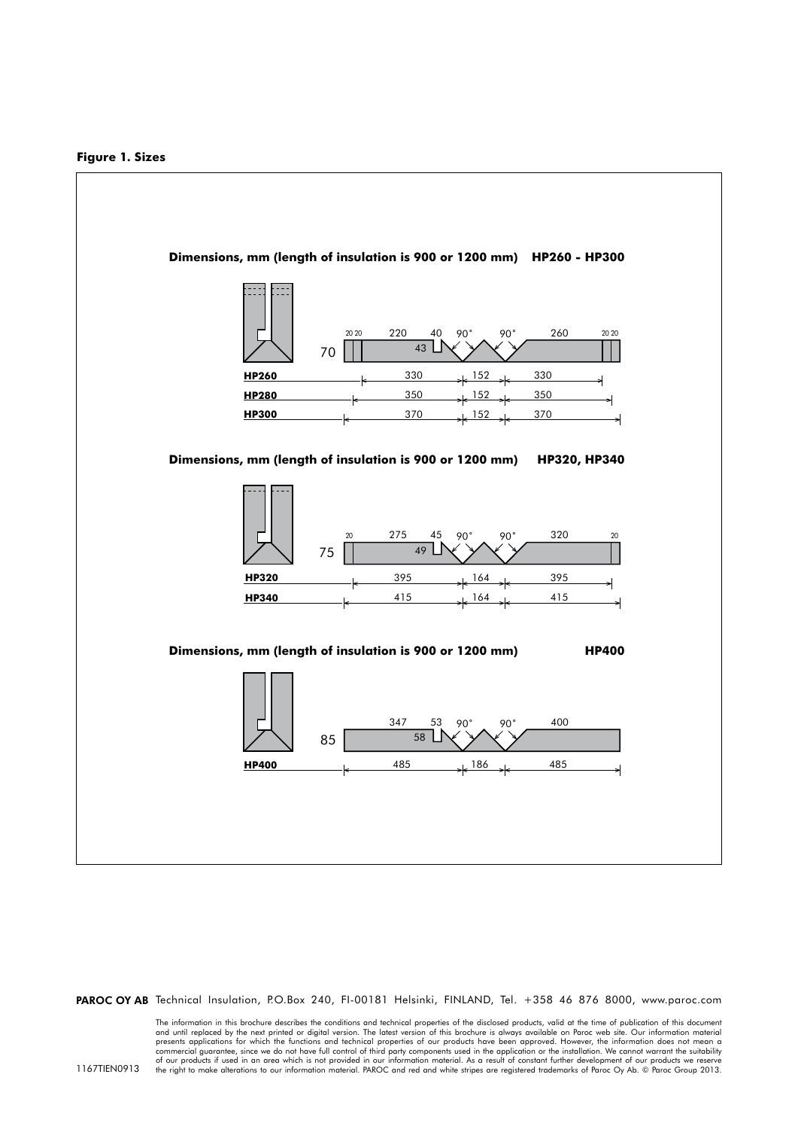

PAROC OY AB Technical Insulation, P.O.Box 240, FI-00181 Helsinki, FINLAND, Tel. +358 46 876 8000, www.paroc.com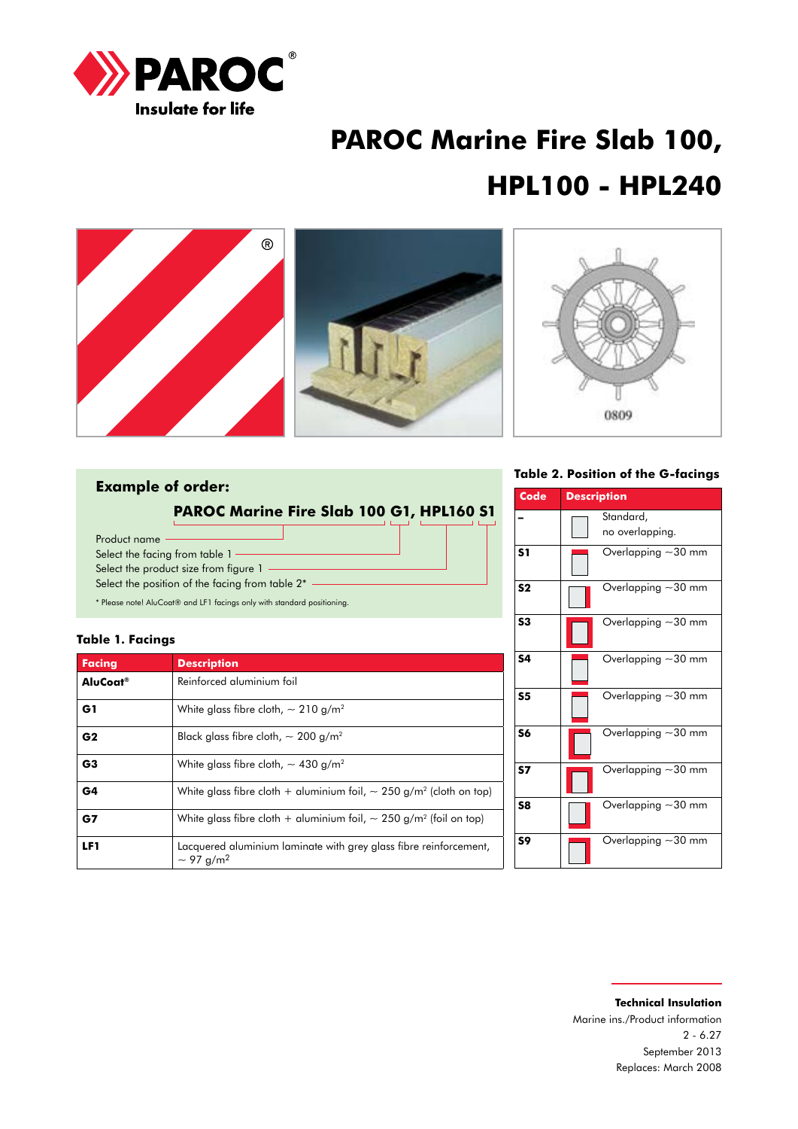

# **PAROC Marine Fire Slab 100, HPL100 - HPL240**



### **Example of order: PAROC Marine Fire Slab 100 G1, HPL160 S1**

Product name Select the facing from table 1 -Select the product size from figure 1 -Select the position of the facing from table  $2^*$  -

\* Please note! AluCoat® and LF1 facings only with standard positioning.

### **Table 1. Facings**

| <b>Facing</b>        | <b>Description</b>                                                                              |
|----------------------|-------------------------------------------------------------------------------------------------|
| AluCoat <sup>®</sup> | Reinforced aluminium foil                                                                       |
| G1                   | White glass fibre cloth, $\sim$ 210 g/m <sup>2</sup>                                            |
| G <sub>2</sub>       | Black glass fibre cloth, $\sim$ 200 g/m <sup>2</sup>                                            |
| G <sub>3</sub>       | White glass fibre cloth, $\sim$ 430 g/m <sup>2</sup>                                            |
| G4                   | White glass fibre cloth + aluminium foil, $\sim$ 250 g/m <sup>2</sup> (cloth on top)            |
| G7                   | White glass fibre cloth + aluminium foil, $\sim$ 250 g/m <sup>2</sup> (foil on top)             |
| LF1                  | Lacquered aluminium laminate with grey glass fibre reinforcement,<br>$\sim$ 97 g/m <sup>2</sup> |

#### **Table 2. Position of the G-facings**

| <b>Code</b>    | <b>Description</b>           |
|----------------|------------------------------|
|                | Standard,<br>no overlapping. |
| S <sub>1</sub> | Overlapping $\sim$ 30 mm     |
| S <sub>2</sub> | Overlapping $\sim$ 30 mm     |
| S3             | Overlapping $\sim$ 30 mm     |
| S4             | Overlapping $\sim$ 30 mm     |
| S <sub>5</sub> | Overlapping $\sim$ 30 mm     |
| S6             | Overlapping ~30 mm           |
| <b>S7</b>      | Overlapping ~30 mm           |
| S8             | Overlapping $\sim$ 30 mm     |
| S9             | Overlapping $\sim$ 30 mm     |

### **Technical Insulation** Marine ins./Product information 2 - 6.27 September 2013 Replaces: March 2008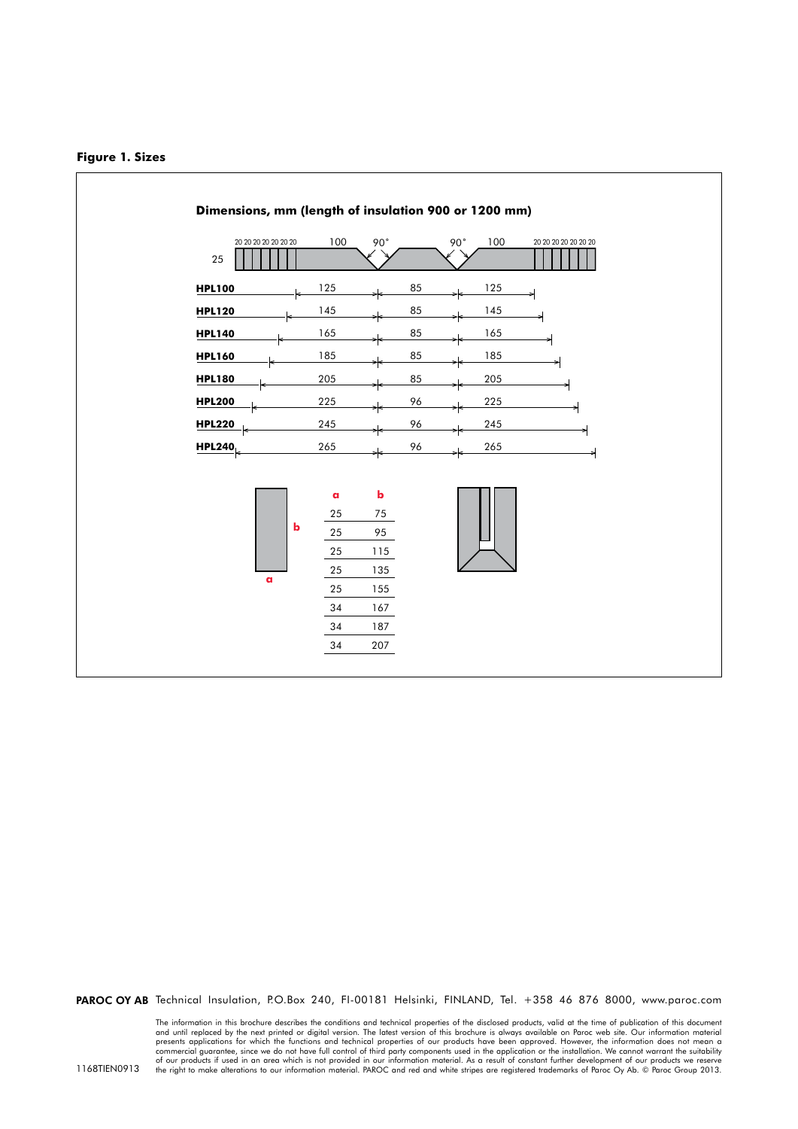



PAROC OY AB Technical Insulation, P.O.Box 240, FI-00181 Helsinki, FINLAND, Tel. +358 46 876 8000, www.paroc.com

The information in this brochure describes the conditions and technical properties of the disclosed products, valid at the time of publication of this document<br>and until replaced by the next printed or digital version. The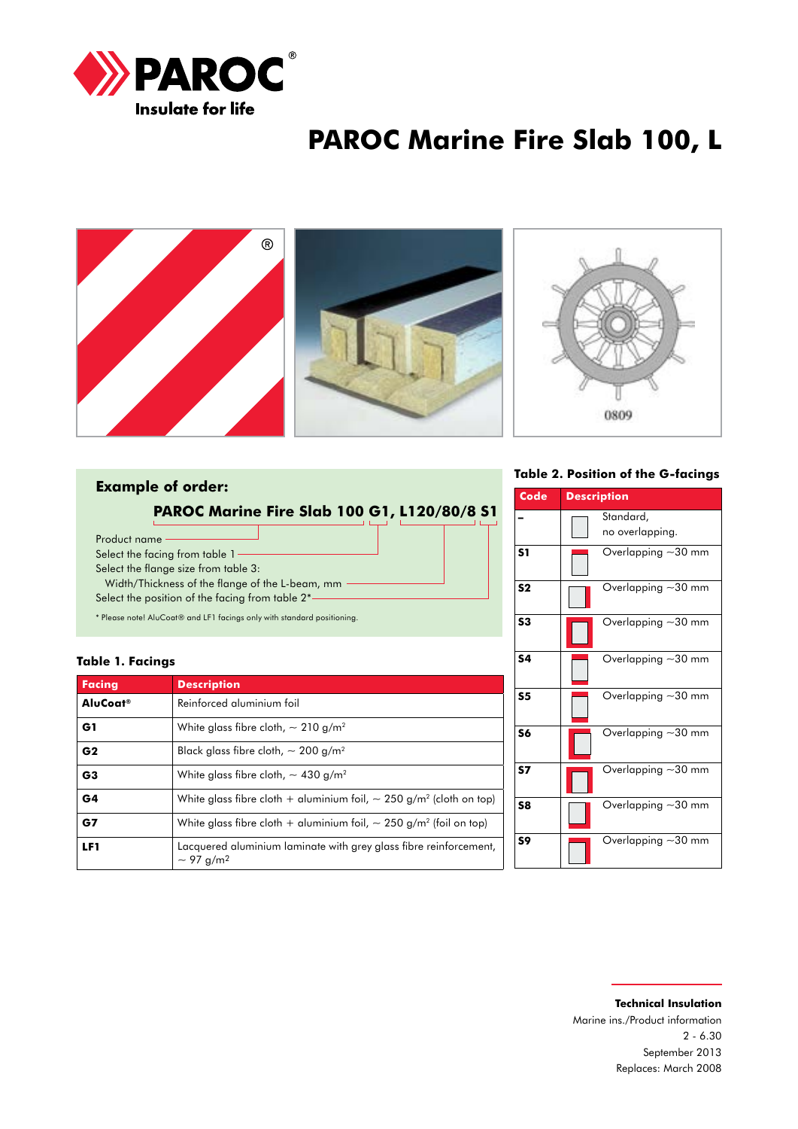

# **PAROC Marine Fire Slab 100, L**



### **Example of order:**

**PAROC Marine Fire Slab 100 G1, L120/80/8 S1**

Product name

Select the facing from table 1-

Select the flange size from table 3: Width/Thickness of the flange of the L-beam, mm

Select the position of the facing from table 2\*

\* Please note! AluCoat® and LF1 facings only with standard positioning.

#### **Table 1. Facings**

| <b>Facing</b>        | <b>Description</b>                                                                              |  |
|----------------------|-------------------------------------------------------------------------------------------------|--|
| AluCoat <sup>®</sup> | Reinforced aluminium foil                                                                       |  |
| G1                   | White glass fibre cloth, $\sim$ 210 g/m <sup>2</sup>                                            |  |
| G <sub>2</sub>       | Black glass fibre cloth, $\sim$ 200 g/m <sup>2</sup>                                            |  |
| G <sub>3</sub>       | White glass fibre cloth, $\sim$ 430 g/m <sup>2</sup>                                            |  |
| G <sub>4</sub>       | White glass fibre cloth + aluminium foil, $\sim$ 250 g/m <sup>2</sup> (cloth on top)            |  |
| G7                   | White glass fibre cloth + gluminium foil, $\sim$ 250 g/m <sup>2</sup> (foil on top)             |  |
| LF1                  | Lacquered aluminium laminate with grey glass fibre reinforcement,<br>$\sim$ 97 g/m <sup>2</sup> |  |

**Table 2. Position of the G-facings**

| Code           | <b>Description</b>       |
|----------------|--------------------------|
|                | Standard,                |
|                | no overlapping.          |
| S <sub>1</sub> | Overlapping $\sim$ 30 mm |
| S <sub>2</sub> | Overlapping $\sim$ 30 mm |
| S3             | Overlapping $\sim$ 30 mm |
| <b>S4</b>      | Overlapping $-30$ mm     |
| S <sub>5</sub> | Overlapping ~30 mm       |
| S6             | Overlapping $-30$ mm     |
| S7             | Overlapping $\sim$ 30 mm |
| S8             | Overlapping $\sim$ 30 mm |
| S9             | Overlapping $\sim$ 30 mm |

### **Technical Insulation** Marine ins./Product information 2 - 6.30 September 2013 Replaces: March 2008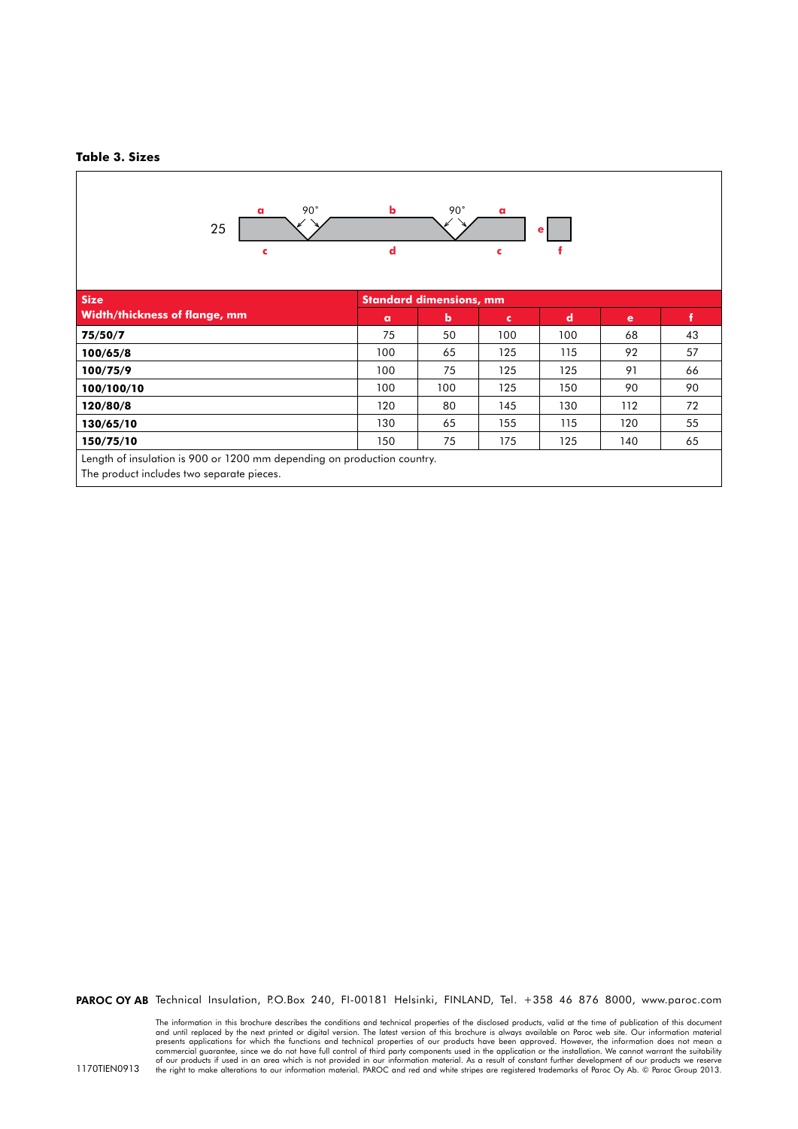#### **Table 3. Sizes**



PAROC OY AB Technical Insulation, P.O.Box 240, FI-00181 Helsinki, FINLAND, Tel. +358 46 876 8000, www.paroc.com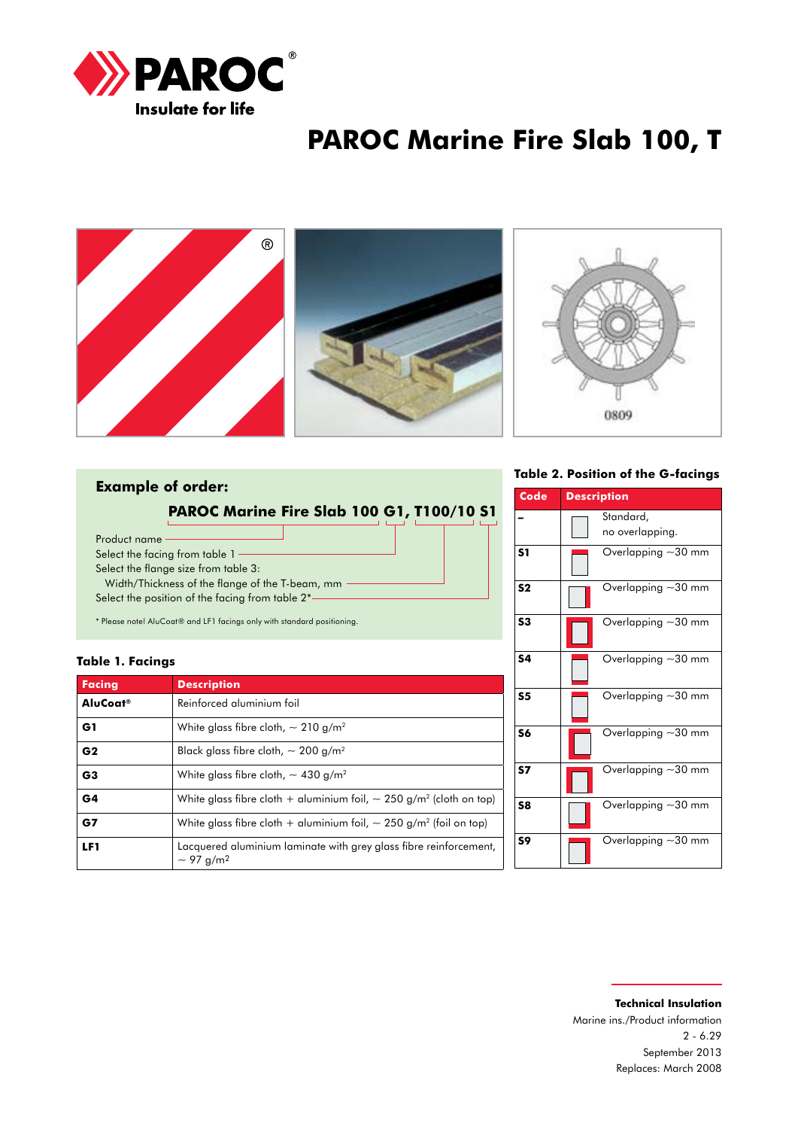

# **PAROC Marine Fire Slab 100, T**



### **Example of order:**

**PAROC Marine Fire Slab 100 G1, T100/10 S1**

Product name Select the facing from table 1 -Select the flange size from table 3: Width/Thickness of the flange of the T-beam, mm Select the position of the facing from table 2\*

\* Please note! AluCoat® and LF1 facings only with standard positioning.

#### **Table 1. Facings**

| <b>Facing</b>        | <b>Description</b>                                                                              |
|----------------------|-------------------------------------------------------------------------------------------------|
| AluCoat <sup>®</sup> | Reinforced aluminium foil                                                                       |
| G1                   | White glass fibre cloth, $\sim$ 210 g/m <sup>2</sup>                                            |
| G <sub>2</sub>       | Black glass fibre cloth, $\sim$ 200 g/m <sup>2</sup>                                            |
| G <sub>3</sub>       | White glass fibre cloth, $\sim$ 430 g/m <sup>2</sup>                                            |
| G <sub>4</sub>       | White glass fibre cloth + aluminium foil, $\sim$ 250 g/m <sup>2</sup> (cloth on top)            |
| G7                   | White glass fibre cloth + aluminium foil, $\sim$ 250 g/m <sup>2</sup> (foil on top)             |
| LF1                  | Lacquered aluminium laminate with grey glass fibre reinforcement,<br>$\sim$ 97 g/m <sup>2</sup> |

**Table 2. Position of the G-facings**

| Code           | <b>Description</b>           |
|----------------|------------------------------|
|                | Standard,<br>no overlapping. |
| S <sub>1</sub> | Overlapping $\sim$ 30 mm     |
| S <sub>2</sub> | Overlapping $\sim$ 30 mm     |
| S <sub>3</sub> | Overlapping $\sim$ 30 mm     |
| <b>S4</b>      | Overlapping $-30$ mm         |
| S <sub>5</sub> | Overlapping $\sim$ 30 mm     |
| S6             | Overlapping $\sim$ 30 mm     |
| S7             | Overlapping ~30 mm           |
| S8             | Overlapping ~30 mm           |
| S9             | Overlapping $\sim$ 30 mm     |

### **Technical Insulation** Marine ins./Product information 2 - 6.29 September 2013 Replaces: March 2008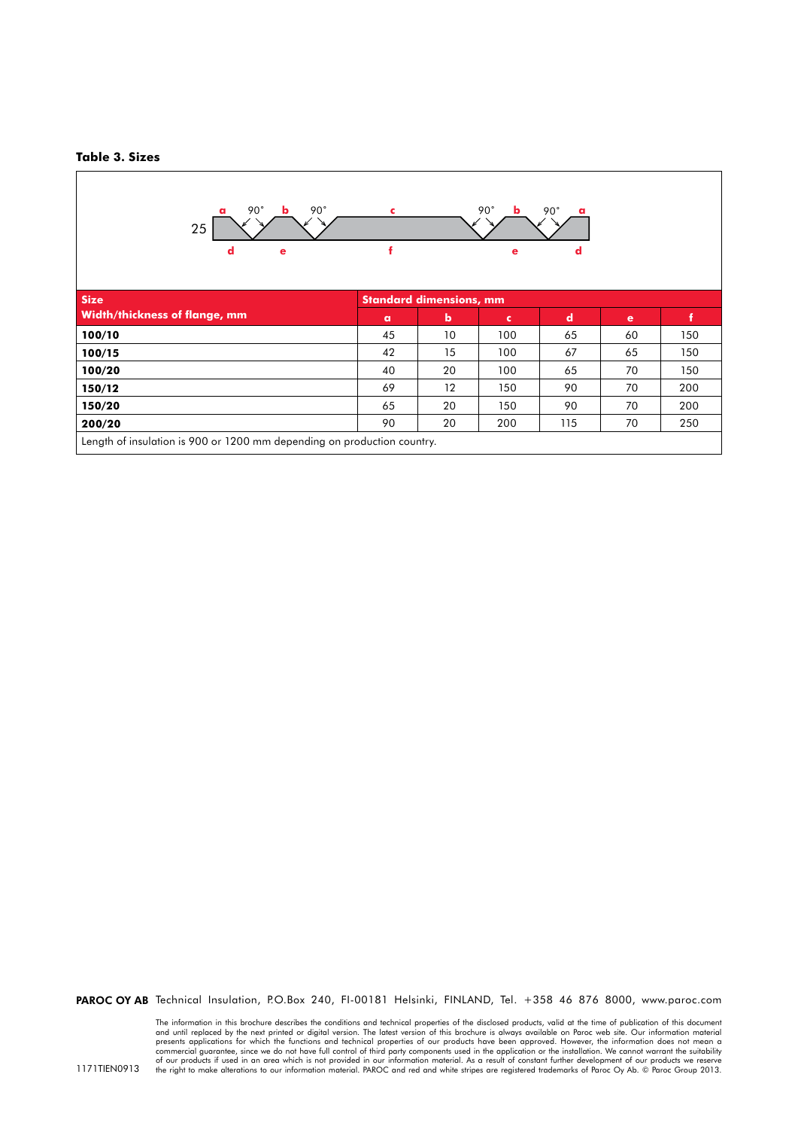#### **Table 3. Sizes**



PAROC OY AB Technical Insulation, P.O.Box 240, FI-00181 Helsinki, FINLAND, Tel. +358 46 876 8000, www.paroc.com